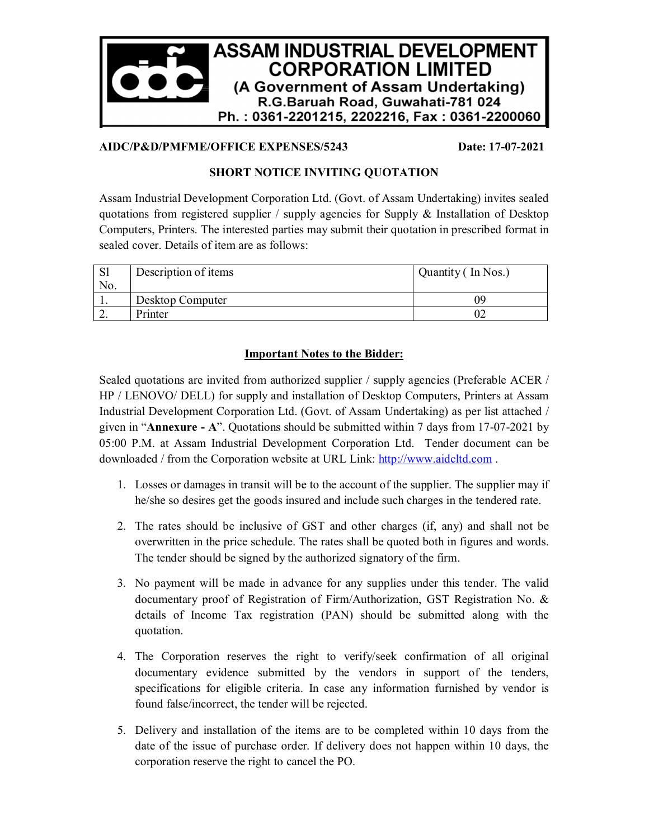

#### **AIDC/P&D/PMFME/OFFICE EXPENSES/5243 Date: 17-07-2021**

### **SHORT NOTICE INVITING QUOTATION**

Assam Industrial Development Corporation Ltd. (Govt. of Assam Undertaking) invites sealed quotations from registered supplier / supply agencies for Supply & Installation of Desktop Computers, Printers. The interested parties may submit their quotation in prescribed format in sealed cover. Details of item are as follows:

| <sub>S1</sub> | Description of items | Quantity (In Nos.) |  |
|---------------|----------------------|--------------------|--|
| No.           |                      |                    |  |
|               | Desktop Computer     | Ng                 |  |
| ـ ت           | Printer              |                    |  |

### **Important Notes to the Bidder:**

Sealed quotations are invited from authorized supplier / supply agencies (Preferable ACER / HP / LENOVO/ DELL) for supply and installation of Desktop Computers, Printers at Assam Industrial Development Corporation Ltd. (Govt. of Assam Undertaking) as per list attached / given in "**Annexure - A**". Quotations should be submitted within 7 days from 17-07-2021 by 05:00 P.M. at Assam Industrial Development Corporation Ltd. Tender document can be downloaded / from the Corporation website at URL Link: http://www.aidcltd.com .

- 1. Losses or damages in transit will be to the account of the supplier. The supplier may if he/she so desires get the goods insured and include such charges in the tendered rate.
- 2. The rates should be inclusive of GST and other charges (if, any) and shall not be overwritten in the price schedule. The rates shall be quoted both in figures and words. The tender should be signed by the authorized signatory of the firm.
- 3. No payment will be made in advance for any supplies under this tender. The valid documentary proof of Registration of Firm/Authorization, GST Registration No. & details of Income Tax registration (PAN) should be submitted along with the quotation.
- 4. The Corporation reserves the right to verify/seek confirmation of all original documentary evidence submitted by the vendors in support of the tenders, specifications for eligible criteria. In case any information furnished by vendor is found false/incorrect, the tender will be rejected.
- 5. Delivery and installation of the items are to be completed within 10 days from the date of the issue of purchase order. If delivery does not happen within 10 days, the corporation reserve the right to cancel the PO.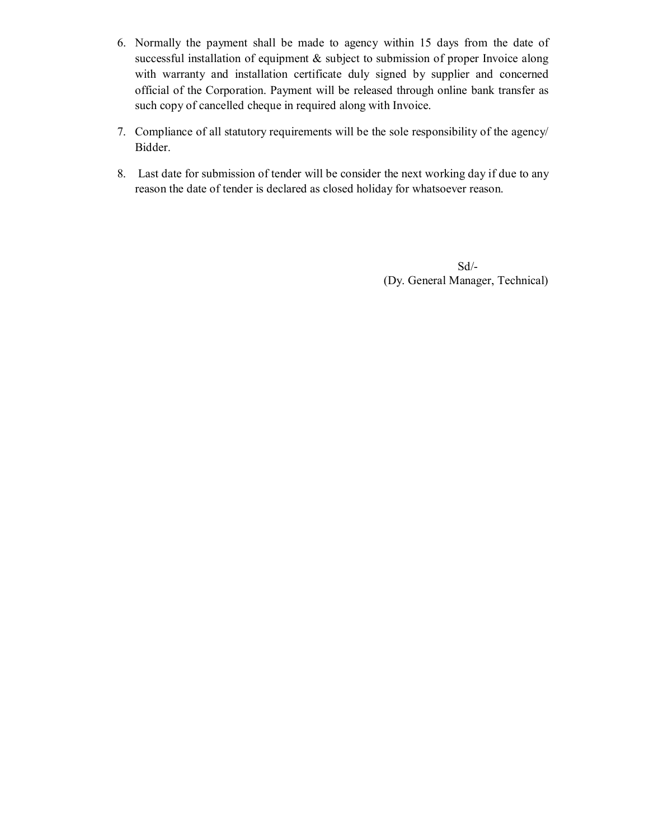- 6. Normally the payment shall be made to agency within 15 days from the date of successful installation of equipment & subject to submission of proper Invoice along with warranty and installation certificate duly signed by supplier and concerned official of the Corporation. Payment will be released through online bank transfer as such copy of cancelled cheque in required along with Invoice.
- 7. Compliance of all statutory requirements will be the sole responsibility of the agency/ Bidder.
- 8. Last date for submission of tender will be consider the next working day if due to any reason the date of tender is declared as closed holiday for whatsoever reason.

Sd/- (Dy. General Manager, Technical)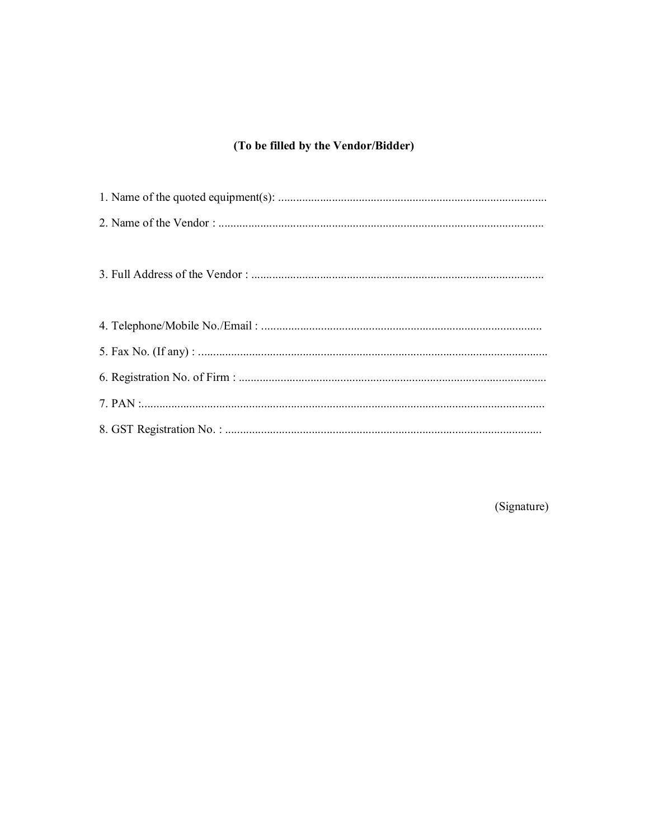# (To be filled by the Vendor/Bidder)

(Signature)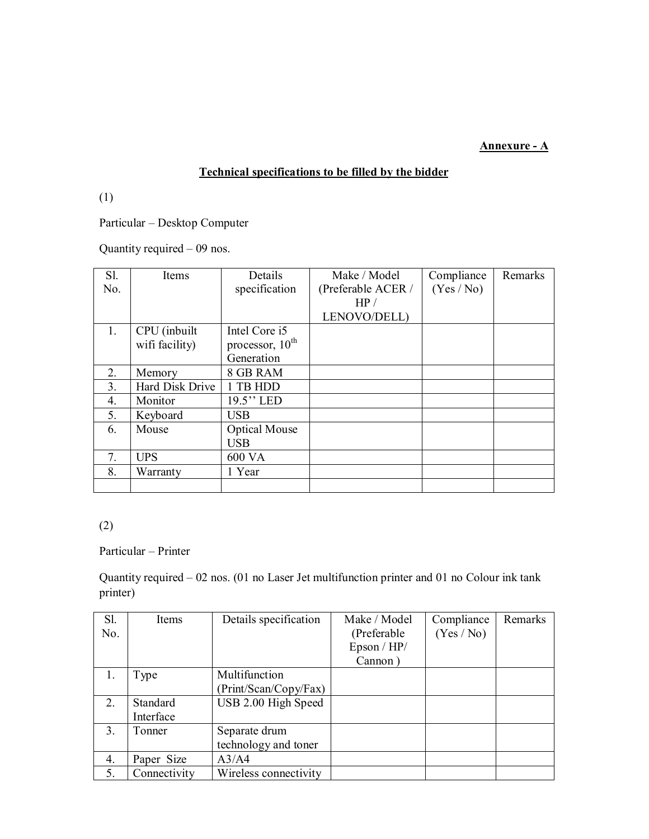#### **Annexure - A**

## **Technical specifications to be filled by the bidder**

(1)

Particular – Desktop Computer

Quantity required – 09 nos.

| S1.            | Items           | Details              | Make / Model       | Compliance | Remarks |
|----------------|-----------------|----------------------|--------------------|------------|---------|
| No.            |                 | specification        | (Preferable ACER / | (Yes / No) |         |
|                |                 |                      | HP/                |            |         |
|                |                 |                      | LENOVO/DELL)       |            |         |
| $1_{\cdot}$    | CPU (inbuilt    | Intel Core i5        |                    |            |         |
|                | wifi facility)  | processor, $10^{th}$ |                    |            |         |
|                |                 | Generation           |                    |            |         |
| 2.             | Memory          | 8 GB RAM             |                    |            |         |
| 3 <sub>1</sub> | Hard Disk Drive | 1 TB HDD             |                    |            |         |
| 4.             | Monitor         | $19.5$ " LED         |                    |            |         |
| 5.             | Keyboard        | <b>USB</b>           |                    |            |         |
| 6.             | Mouse           | <b>Optical Mouse</b> |                    |            |         |
|                |                 | <b>USB</b>           |                    |            |         |
| 7.             | <b>UPS</b>      | 600 VA               |                    |            |         |
| 8.             | Warranty        | 1 Year               |                    |            |         |
|                |                 |                      |                    |            |         |

# (2)

#### Particular – Printer

Quantity required – 02 nos. (01 no Laser Jet multifunction printer and 01 no Colour ink tank printer)

| Sl.                  | <b>Items</b> | Details specification | Make / Model | Compliance | Remarks |
|----------------------|--------------|-----------------------|--------------|------------|---------|
| No.                  |              |                       | (Preferable) | (Yes / No) |         |
|                      |              |                       | Epson / HP/  |            |         |
|                      |              |                       | Cannon)      |            |         |
|                      | Type         | Multifunction         |              |            |         |
|                      |              | (Print/Scan/Copy/Fax) |              |            |         |
| 2.                   | Standard     | USB 2.00 High Speed   |              |            |         |
|                      | Interface    |                       |              |            |         |
| 3.                   | Tonner       | Separate drum         |              |            |         |
|                      |              | technology and toner  |              |            |         |
| $\mathbf{4}_{\cdot}$ | Paper Size   | A3/A4                 |              |            |         |
| 5.                   | Connectivity | Wireless connectivity |              |            |         |